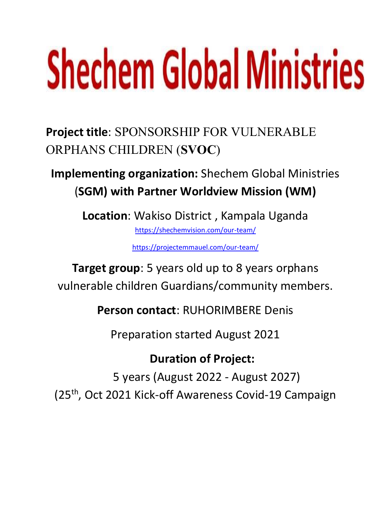# **Shechem Global Ministries**

**Project title**: SPONSORSHIP FOR VULNERABLE ORPHANS CHILDREN (**SVOC**)

# **Implementing organization:** Shechem Global Ministries (**SGM) with Partner Worldview Mission (WM)**

**Location**: Wakiso District , Kampala Uganda

<https://shechemvision.com/our-team/>

<https://projectemmauel.com/our-team/>

**Target group**: 5 years old up to 8 years orphans vulnerable children Guardians/community members.

**Person contact**: RUHORIMBERE Denis

Preparation started August 2021

 **Duration of Project:** 5 years (August 2022 - August 2027) (25<sup>th</sup>, Oct 2021 Kick-off Awareness Covid-19 Campaign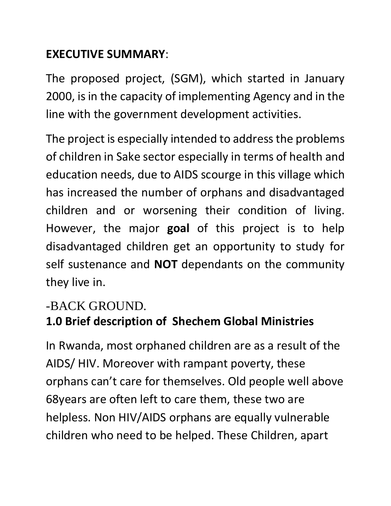## **EXECUTIVE SUMMARY**:

The proposed project, (SGM), which started in January 2000, is in the capacity of implementing Agency and in the line with the government development activities.

The project is especially intended to address the problems of children in Sake sector especially in terms of health and education needs, due to AIDS scourge in this village which has increased the number of orphans and disadvantaged children and or worsening their condition of living. However, the major **goal** of this project is to help disadvantaged children get an opportunity to study for self sustenance and **NOT** dependants on the community they live in.

## -BACK GROUND. **1.0 Brief description of Shechem Global Ministries**

In Rwanda, most orphaned children are as a result of the AIDS/ HIV. Moreover with rampant poverty, these orphans can't care for themselves. Old people well above 68years are often left to care them, these two are helpless. Non HIV/AIDS orphans are equally vulnerable children who need to be helped. These Children, apart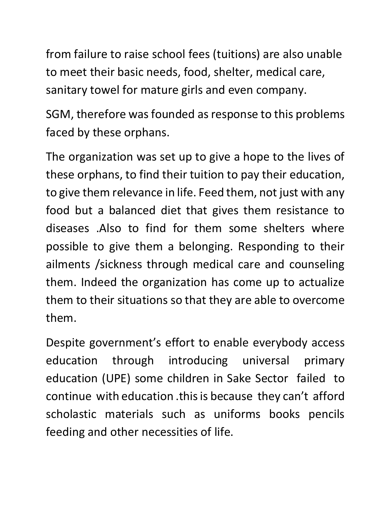from failure to raise school fees (tuitions) are also unable to meet their basic needs, food, shelter, medical care, sanitary towel for mature girls and even company.

SGM, therefore was founded as response to this problems faced by these orphans.

The organization was set up to give a hope to the lives of these orphans, to find their tuition to pay their education, to give them relevance in life. Feed them, not just with any food but a balanced diet that gives them resistance to diseases .Also to find for them some shelters where possible to give them a belonging. Responding to their ailments /sickness through medical care and counseling them. Indeed the organization has come up to actualize them to their situations so that they are able to overcome them.

Despite government's effort to enable everybody access education through introducing universal primary education (UPE) some children in Sake Sector failed to continue with education .this is because they can't afford scholastic materials such as uniforms books pencils feeding and other necessities of life.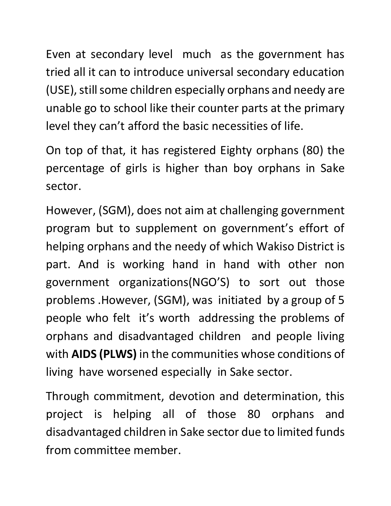Even at secondary level much as the government has tried all it can to introduce universal secondary education (USE), still some children especially orphans and needy are unable go to school like their counter parts at the primary level they can't afford the basic necessities of life.

On top of that, it has registered Eighty orphans (80) the percentage of girls is higher than boy orphans in Sake sector.

However, (SGM), does not aim at challenging government program but to supplement on government's effort of helping orphans and the needy of which Wakiso District is part. And is working hand in hand with other non government organizations(NGO'S) to sort out those problems .However, (SGM), was initiated by a group of 5 people who felt it's worth addressing the problems of orphans and disadvantaged children and people living with **AIDS (PLWS)** in the communities whose conditions of living have worsened especially in Sake sector.

Through commitment, devotion and determination, this project is helping all of those 80 orphans and disadvantaged children in Sake sector due to limited funds from committee member.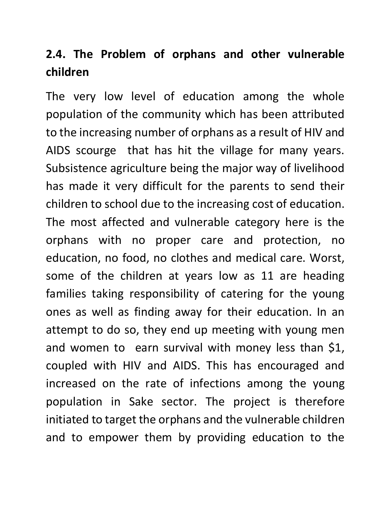# **2.4. The Problem of orphans and other vulnerable children**

The very low level of education among the whole population of the community which has been attributed to the increasing number of orphans as a result of HIV and AIDS scourge that has hit the village for many years. Subsistence agriculture being the major way of livelihood has made it very difficult for the parents to send their children to school due to the increasing cost of education. The most affected and vulnerable category here is the orphans with no proper care and protection, no education, no food, no clothes and medical care. Worst, some of the children at years low as 11 are heading families taking responsibility of catering for the young ones as well as finding away for their education. In an attempt to do so, they end up meeting with young men and women to earn survival with money less than \$1, coupled with HIV and AIDS. This has encouraged and increased on the rate of infections among the young population in Sake sector. The project is therefore initiated to target the orphans and the vulnerable children and to empower them by providing education to the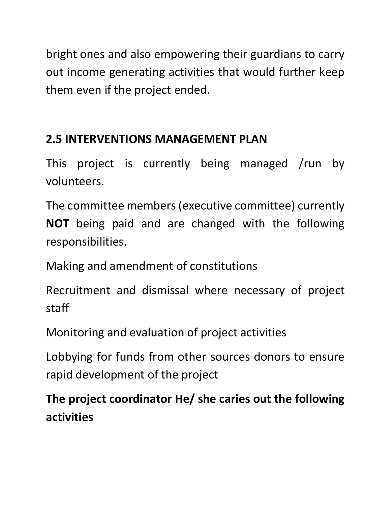bright ones and also empowering their guardians to carry out income generating activities that would further keep them even if the project ended.

# **2.5 INTERVENTIONS MANAGEMENT PLAN**

This project is currently being managed /run by volunteers.

The committee members (executive committee) currently **NOT** being paid and are changed with the following responsibilities.

Making and amendment of constitutions

Recruitment and dismissal where necessary of project staff

Monitoring and evaluation of project activities

Lobbying for funds from other sources donors to ensure rapid development of the project

**The project coordinator He/ she caries out the following activities**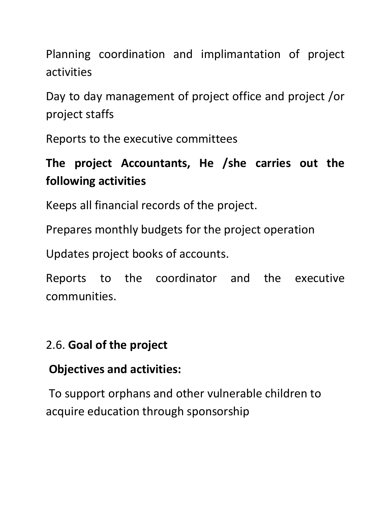Planning coordination and implimantation of project activities

Day to day management of project office and project /or project staffs

Reports to the executive committees

# **The project Accountants, He /she carries out the following activities**

Keeps all financial records of the project.

Prepares monthly budgets for the project operation

Updates project books of accounts.

Reports to the coordinator and the executive communities.

## 2.6. **Goal of the project**

#### **Objectives and activities:**

To support orphans and other vulnerable children to acquire education through sponsorship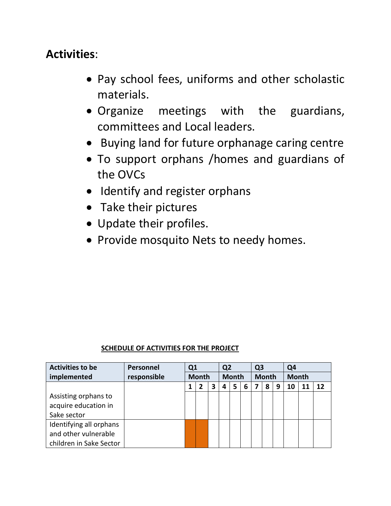#### **Activities**:

- Pay school fees, uniforms and other scholastic materials.
- Organize meetings with the guardians, committees and Local leaders.
- Buying land for future orphanage caring centre
- To support orphans /homes and guardians of the OVCs
- Identify and register orphans
- Take their pictures
- Update their profiles.
- Provide mosquito Nets to needy homes.

#### **SCHEDULE OF ACTIVITIES FOR THE PROJECT**

| <b>Activities to be</b> | Personnel   | Q <sub>1</sub> |              |   | Q <sub>2</sub> |              |   | Q <sub>3</sub> |              |   | Q4           |    |    |
|-------------------------|-------------|----------------|--------------|---|----------------|--------------|---|----------------|--------------|---|--------------|----|----|
| implemented             | responsible |                | <b>Month</b> |   |                | <b>Month</b> |   |                | <b>Month</b> |   | <b>Month</b> |    |    |
|                         |             |                | 2            | 3 | 4              | 5            | 6 |                | 8            | 9 | 10           | 11 | 12 |
| Assisting orphans to    |             |                |              |   |                |              |   |                |              |   |              |    |    |
| acquire education in    |             |                |              |   |                |              |   |                |              |   |              |    |    |
| Sake sector             |             |                |              |   |                |              |   |                |              |   |              |    |    |
| Identifying all orphans |             |                |              |   |                |              |   |                |              |   |              |    |    |
| and other vulnerable    |             |                |              |   |                |              |   |                |              |   |              |    |    |
| children in Sake Sector |             |                |              |   |                |              |   |                |              |   |              |    |    |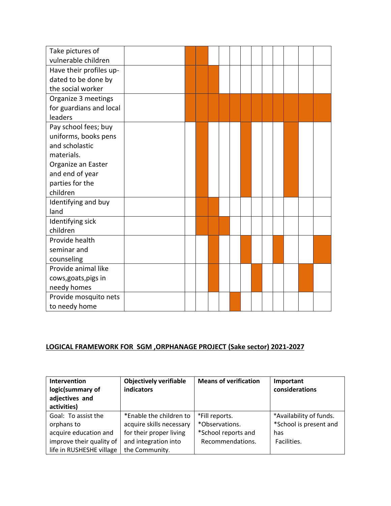| Take pictures of        |  |  |  |  |  |  |  |
|-------------------------|--|--|--|--|--|--|--|
| vulnerable children     |  |  |  |  |  |  |  |
| Have their profiles up- |  |  |  |  |  |  |  |
| dated to be done by     |  |  |  |  |  |  |  |
| the social worker       |  |  |  |  |  |  |  |
| Organize 3 meetings     |  |  |  |  |  |  |  |
| for guardians and local |  |  |  |  |  |  |  |
| leaders                 |  |  |  |  |  |  |  |
| Pay school fees; buy    |  |  |  |  |  |  |  |
| uniforms, books pens    |  |  |  |  |  |  |  |
| and scholastic          |  |  |  |  |  |  |  |
| materials.              |  |  |  |  |  |  |  |
| Organize an Easter      |  |  |  |  |  |  |  |
| and end of year         |  |  |  |  |  |  |  |
| parties for the         |  |  |  |  |  |  |  |
| children                |  |  |  |  |  |  |  |
| Identifying and buy     |  |  |  |  |  |  |  |
| land                    |  |  |  |  |  |  |  |
| Identifying sick        |  |  |  |  |  |  |  |
| children                |  |  |  |  |  |  |  |
| Provide health          |  |  |  |  |  |  |  |
| seminar and             |  |  |  |  |  |  |  |
| counseling              |  |  |  |  |  |  |  |
| Provide animal like     |  |  |  |  |  |  |  |
| cows, goats, pigs in    |  |  |  |  |  |  |  |
| needy homes             |  |  |  |  |  |  |  |
| Provide mosquito nets   |  |  |  |  |  |  |  |
| to needy home           |  |  |  |  |  |  |  |

#### **LOGICAL FRAMEWORK FOR SGM ,ORPHANAGE PROJECT (Sake sector) 2021-2027**

| Intervention<br>logic(summary of<br>adjectives and<br>activities) | <b>Objectively verifiable</b><br>indicators | <b>Means of verification</b> | Important<br>considerations |
|-------------------------------------------------------------------|---------------------------------------------|------------------------------|-----------------------------|
| Goal: To assist the                                               | *Enable the children to                     | *Fill reports.               | *Availability of funds.     |
| orphans to                                                        | acquire skills necessary                    | *Observations.               | *School is present and      |
| acquire education and                                             | for their proper living                     | *School reports and          | has                         |
| improve their quality of                                          | and integration into                        | Recommendations.             | Facilities.                 |
| life in RUSHESHE village                                          | the Community.                              |                              |                             |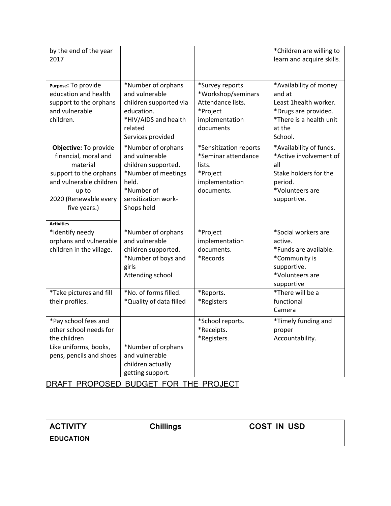| by the end of the year<br>2017                                                                                                                                   |                                                                                                                                                |                                                                                                       | *Children are willing to<br>learn and acquire skills.                                                                             |
|------------------------------------------------------------------------------------------------------------------------------------------------------------------|------------------------------------------------------------------------------------------------------------------------------------------------|-------------------------------------------------------------------------------------------------------|-----------------------------------------------------------------------------------------------------------------------------------|
| Purpose: To provide<br>education and health<br>support to the orphans<br>and vulnerable<br>children.                                                             | *Number of orphans<br>and vulnerable<br>children supported via<br>education.<br>*HIV/AIDS and health<br>related<br>Services provided           | *Survey reports<br>*Workshop/seminars<br>Attendance lists.<br>*Project<br>implementation<br>documents | *Availability of money<br>and at<br>Least 1health worker.<br>*Drugs are provided.<br>*There is a health unit<br>at the<br>School. |
| Objective: To provide<br>financial, moral and<br>material<br>support to the orphans<br>and vulnerable children<br>up to<br>2020 (Renewable every<br>five years.) | *Number of orphans<br>and vulnerable<br>children supported.<br>*Number of meetings<br>held.<br>*Number of<br>sensitization work-<br>Shops held | *Sensitization reports<br>*Seminar attendance<br>lists.<br>*Project<br>implementation<br>documents.   | *Availability of funds.<br>*Active involvement of<br>all<br>Stake holders for the<br>period.<br>*Volunteers are<br>supportive.    |
| <b>Activities</b>                                                                                                                                                |                                                                                                                                                |                                                                                                       |                                                                                                                                   |
| *Identify needy<br>orphans and vulnerable<br>children in the village.                                                                                            | *Number of orphans<br>and vulnerable<br>children supported.<br>*Number of boys and<br>girls<br>Attending school                                | *Project<br>implementation<br>documents.<br>*Records                                                  | *Social workers are<br>active.<br>*Funds are available.<br>*Community is<br>supportive.<br>*Volunteers are<br>supportive          |
| *Take pictures and fill<br>their profiles.                                                                                                                       | *No. of forms filled.<br>*Quality of data filled                                                                                               | *Reports.<br>*Registers                                                                               | *There will be a<br>functional<br>Camera                                                                                          |
| *Pay school fees and<br>other school needs for<br>the children<br>Like uniforms, books,<br>pens, pencils and shoes                                               | *Number of orphans<br>and vulnerable<br>children actually<br>getting support.                                                                  | *School reports.<br>*Receipts.<br>*Registers.                                                         | *Timely funding and<br>proper<br>Accountability.                                                                                  |

DRAFT PROPOSED BUDGET FOR THE PROJECT

| <b>ACTIVITY</b>  | <b>Chillings</b> | <b>COST IN USD</b> |
|------------------|------------------|--------------------|
| <b>EDUCATION</b> |                  |                    |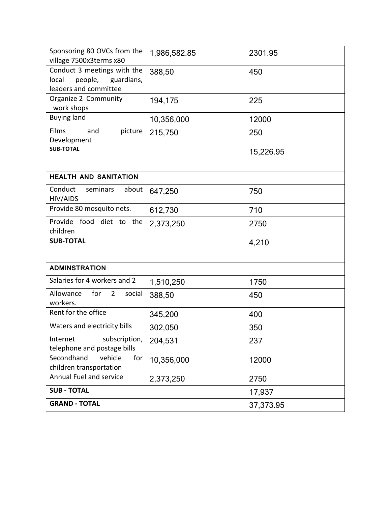| Sponsoring 80 OVCs from the<br>village 7500x3terms x80                                 | 1,986,582.85 | 2301.95   |
|----------------------------------------------------------------------------------------|--------------|-----------|
| Conduct 3 meetings with the<br>people,<br>guardians,<br>local<br>leaders and committee | 388,50       | 450       |
| Organize 2 Community<br>work shops                                                     | 194,175      | 225       |
| <b>Buying land</b>                                                                     | 10,356,000   | 12000     |
| Films<br>and<br>picture<br>Development                                                 | 215,750      | 250       |
| <b>SUB-TOTAL</b>                                                                       |              | 15,226.95 |
|                                                                                        |              |           |
| <b>HEALTH AND SANITATION</b>                                                           |              |           |
| Conduct<br>seminars<br>about<br>HIV/AIDS                                               | 647,250      | 750       |
| Provide 80 mosquito nets.                                                              | 612,730      | 710       |
| food diet to the<br>Provide<br>children                                                | 2,373,250    | 2750      |
| <b>SUB-TOTAL</b>                                                                       |              | 4,210     |
|                                                                                        |              |           |
| <b>ADMINSTRATION</b>                                                                   |              |           |
| Salaries for 4 workers and 2                                                           | 1,510,250    | 1750      |
| Allowance<br>for<br>$\overline{2}$<br>social<br>workers.                               | 388,50       | 450       |
| Rent for the office                                                                    | 345,200      | 400       |
| Waters and electricity bills                                                           | 302,050      | 350       |
| subscription,<br>Internet<br>telephone and postage bills                               | 204,531      | 237       |
| Secondhand<br>vehicle<br>for<br>children transportation                                | 10,356,000   | 12000     |
| Annual Fuel and service                                                                | 2,373,250    | 2750      |
| <b>SUB - TOTAL</b>                                                                     |              | 17,937    |
| <b>GRAND - TOTAL</b>                                                                   |              | 37,373.95 |